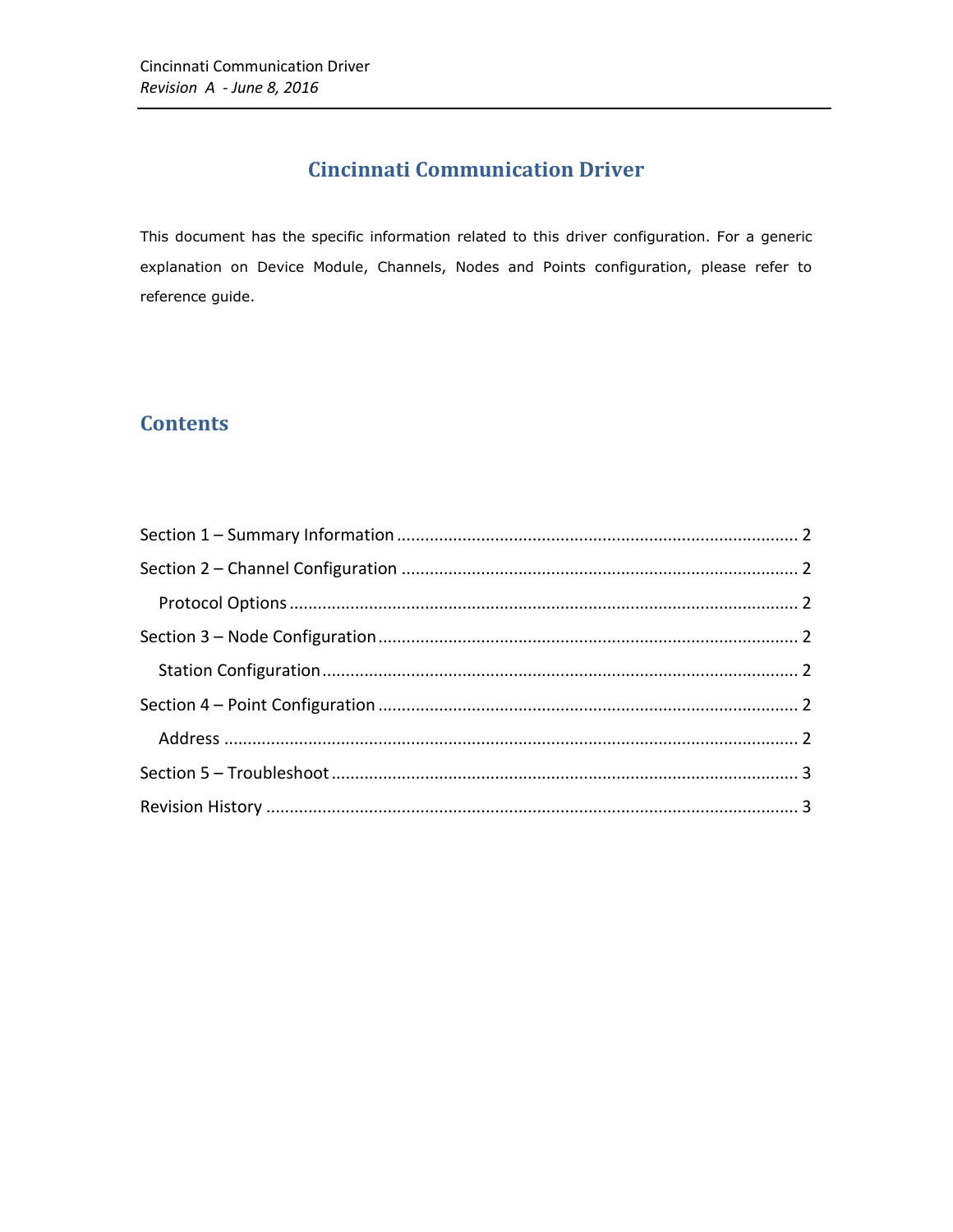## **Cincinnati Communication Driver**

This document has the specific information related to this driver configuration. For a generic explanation on Device Module, Channels, Nodes and Points configuration, please refer to reference guide.

## **Contents**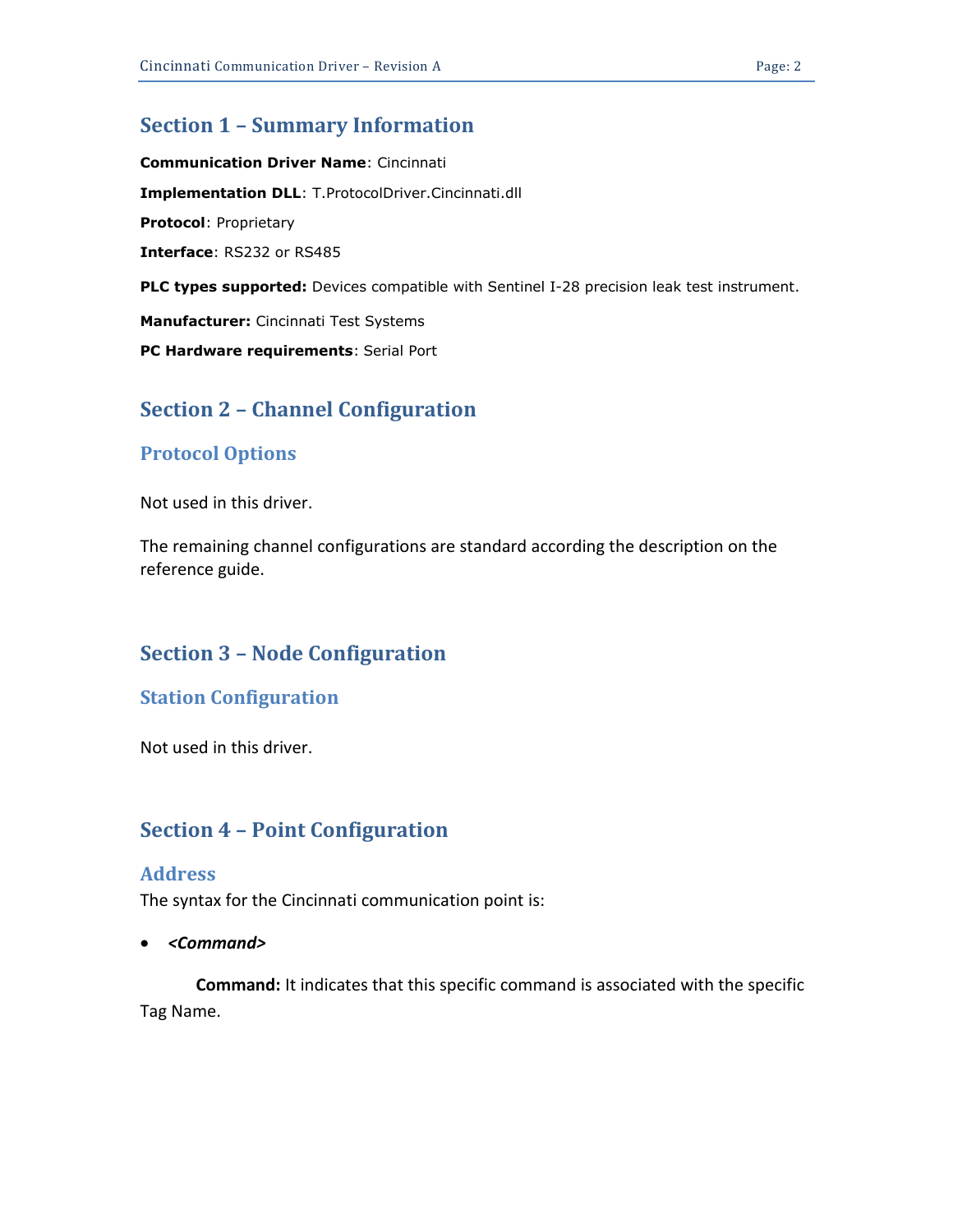### <span id="page-1-0"></span>**Section 1 – Summary Information**

**Communication Driver Name**: Cincinnati **Implementation DLL**: T.ProtocolDriver.Cincinnati.dll **Protocol**: Proprietary **Interface**: RS232 or RS485 **PLC types supported:** Devices compatible with Sentinel I-28 precision leak test instrument. **Manufacturer:** Cincinnati Test Systems **PC Hardware requirements**: Serial Port

## <span id="page-1-1"></span>**Section 2 – Channel Configuration**

### <span id="page-1-2"></span>**Protocol Options**

Not used in this driver.

The remaining channel configurations are standard according the description on the reference guide.

### <span id="page-1-3"></span>**Section 3 – Node Configuration**

#### <span id="page-1-4"></span>**Station Configuration**

<span id="page-1-5"></span>Not used in this driver.

### **Section 4 – Point Configuration**

#### <span id="page-1-6"></span>**Address**

The syntax for the Cincinnati communication point is:

*<Command>*

**Command:** It indicates that this specific command is associated with the specific Tag Name.